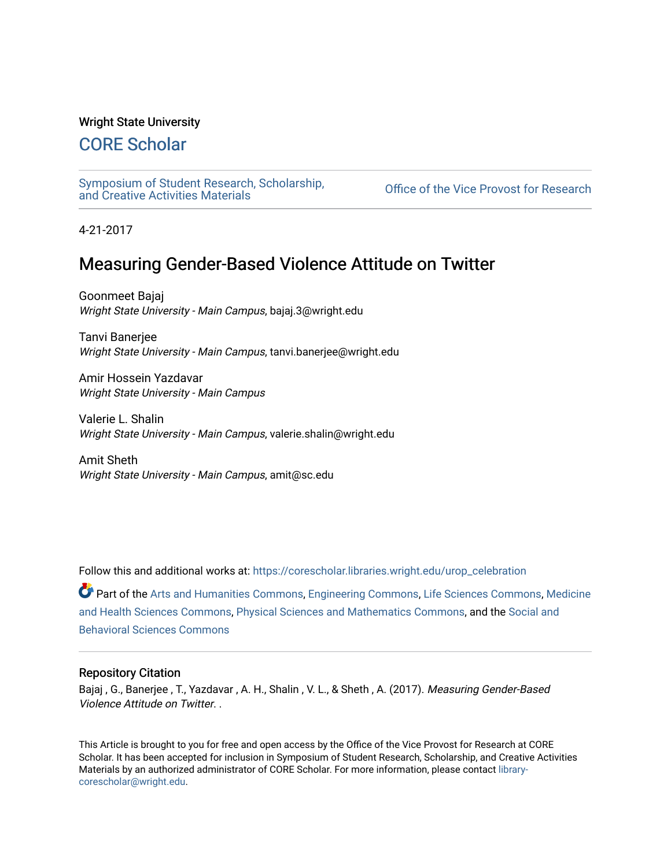### Wright State University

### [CORE Scholar](https://corescholar.libraries.wright.edu/)

[Symposium of Student Research, Scholarship,](https://corescholar.libraries.wright.edu/urop_celebration)

Office of the Vice Provost for Research

4-21-2017

### Measuring Gender-Based Violence Attitude on Twitter

Goonmeet Bajaj Wright State University - Main Campus, bajaj.3@wright.edu

Tanvi Banerjee Wright State University - Main Campus, tanvi.banerjee@wright.edu

Amir Hossein Yazdavar Wright State University - Main Campus

Valerie L. Shalin Wright State University - Main Campus, valerie.shalin@wright.edu

Amit Sheth Wright State University - Main Campus, amit@sc.edu

Follow this and additional works at: [https://corescholar.libraries.wright.edu/urop\\_celebration](https://corescholar.libraries.wright.edu/urop_celebration?utm_source=corescholar.libraries.wright.edu%2Furop_celebration%2F29&utm_medium=PDF&utm_campaign=PDFCoverPages) 

Part of the [Arts and Humanities Commons,](http://network.bepress.com/hgg/discipline/438?utm_source=corescholar.libraries.wright.edu%2Furop_celebration%2F29&utm_medium=PDF&utm_campaign=PDFCoverPages) [Engineering Commons](http://network.bepress.com/hgg/discipline/217?utm_source=corescholar.libraries.wright.edu%2Furop_celebration%2F29&utm_medium=PDF&utm_campaign=PDFCoverPages), [Life Sciences Commons](http://network.bepress.com/hgg/discipline/1016?utm_source=corescholar.libraries.wright.edu%2Furop_celebration%2F29&utm_medium=PDF&utm_campaign=PDFCoverPages), [Medicine](http://network.bepress.com/hgg/discipline/648?utm_source=corescholar.libraries.wright.edu%2Furop_celebration%2F29&utm_medium=PDF&utm_campaign=PDFCoverPages) [and Health Sciences Commons](http://network.bepress.com/hgg/discipline/648?utm_source=corescholar.libraries.wright.edu%2Furop_celebration%2F29&utm_medium=PDF&utm_campaign=PDFCoverPages), [Physical Sciences and Mathematics Commons](http://network.bepress.com/hgg/discipline/114?utm_source=corescholar.libraries.wright.edu%2Furop_celebration%2F29&utm_medium=PDF&utm_campaign=PDFCoverPages), and the [Social and](http://network.bepress.com/hgg/discipline/316?utm_source=corescholar.libraries.wright.edu%2Furop_celebration%2F29&utm_medium=PDF&utm_campaign=PDFCoverPages)  [Behavioral Sciences Commons](http://network.bepress.com/hgg/discipline/316?utm_source=corescholar.libraries.wright.edu%2Furop_celebration%2F29&utm_medium=PDF&utm_campaign=PDFCoverPages) 

### Repository Citation

Bajaj , G., Banerjee , T., Yazdavar , A. H., Shalin , V. L., & Sheth , A. (2017). Measuring Gender-Based Violence Attitude on Twitter. .

This Article is brought to you for free and open access by the Office of the Vice Provost for Research at CORE Scholar. It has been accepted for inclusion in Symposium of Student Research, Scholarship, and Creative Activities Materials by an authorized administrator of CORE Scholar. For more information, please contact [library](mailto:library-corescholar@wright.edu)[corescholar@wright.edu](mailto:library-corescholar@wright.edu).